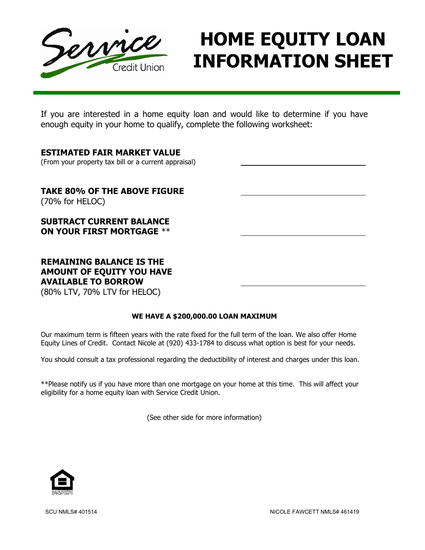

# HOME EQUITY LOAN INFORMATION SHEET

Ξ If you are interested in a home equity loan and would like to determine if you have enough equity in your home to qualify, complete the following worksheet:

### ESTIMATED FAIR MARKET VALUE

(From your property tax bill or a current appraisal)

TAKE 80% OF THE ABOVE FIGURE (70% for HELOC)

SUBTRACT CURRENT BALANCE ON YOUR FIRST MORTGAGE \*\*

## REMAINING BALANCE IS THE AMOUNT OF EQUITY YOU HAVE AVAILABLE TO BORROW

(80% LTV, 70% LTV for HELOC)

#### WE HAVE A \$200,000.00 LOAN MAXIMUM

Our maximum term is fifteen years with the rate fixed for the full term of the loan. We also offer Home Equity Lines of Credit. Contact Nicole at (920) 433-1784 to discuss what option is best for your needs.

You should consult a tax professional regarding the deductibility of interest and charges under this loan.

\*\*Please notify us if you have more than one mortgage on your home at this time. This will affect your eligibility for a home equity loan with Service Credit Union.

(See other side for more information)